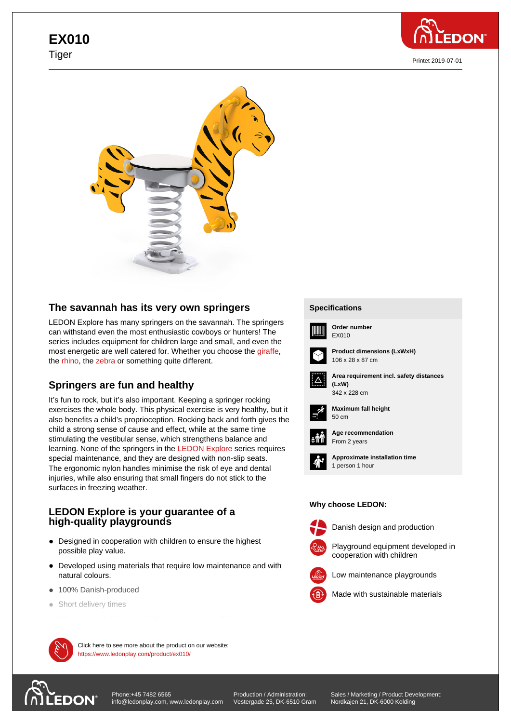# **EX010** Tiger



Printet 2019-07-01



## **The savannah has its very own springers**

LEDON Explore has many springers on the savannah. The springers can withstand even the most enthusiastic cowboys or hunters! The series includes equipment for children large and small, and even the most energetic are well catered for. Whether you choose the giraffe, the rhino, the zebra or something quite different.

## **Springers are fun and healthy**

It's [fun to](https://www.ledonplay.com/product/ex012/) roc[k, but i](https://www.ledonplay.com/product/ex013/)t's also important. Keeping a springer roc[king](https://www.ledonplay.com/product/ex011/) exercises the whole body. This physical exercise is very healthy, but it also benefits a child's proprioception. Rocking back and forth gives the child a strong sense of cause and effect, while at the same time stimulating the vestibular sense, which strengthens balance and learning. None of the springers in the LEDON Explore series requires special maintenance, and they are designed with non-slip seats. The ergonomic nylon handles minimise the risk of eye and dental injuries, while also ensuring that small fingers do not stick to the surfaces in freezing weather.

### **LEDON Explore is your guarantee of a high-quality playgrounds**

- Designed in cooperation with children to ensure the highest possible play value.
- Developed using materials that require low maintenance and with natural colours.
- 100% Danish-produced
- Short delivery times

 $\mathcal{M}$  Click here to see more about the product on our website: https://www.ledonplay.com/product/ex010/

# **DON**

[Phone:+45 7482 6565](https://www.ledonplay.com/product/ex010/) info@ledonplay.com, www.ledonplay.com Production / Administration: Vestergade 25, DK-6510 Gram

Sales / Marketing / Product Development: Nordkajen 21, DK-6000 Kolding

#### **Specifications Specifications**



**Order number** EX010



**Product dimensions (LxWxH)** 106 x 28 x 87 cm



**Area requirement incl. safety distances (LxW) (LxW)**



**Maximum fall height** 50 cm 50 cm



**Age recommendation** From 2 years



**Approximate installation time** 1 person 1 hour

#### **Why choose LEDON: Why choose LEDON:**



Danish design and production



Playground equipment developed in cooperation with children



Made with sustainable materials